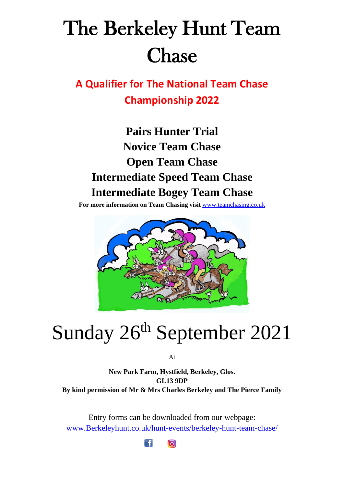# The Berkeley Hunt Team Chase

**A Qualifier for The National Team Chase Championship 2022**

**Pairs Hunter Trial Novice Team Chase Open Team Chase Intermediate Speed Team Chase Intermediate Bogey Team Chase**

**For more information on Team Chasing visit** [www.teamchasing.co.uk](http://www.teamchasing.co.uk/)



# Sunday 26<sup>th</sup> September 2021

At

**New Park Farm, Hystfield, Berkeley, Glos. GL13 9DP By kind permission of Mr & Mrs Charles Berkeley and The Pierce Family**

Entry forms can be downloaded from our webpage: [www.Berkeleyhunt.co.uk/hunt-events/berkeley-hunt-team-chase/](http://www.berkeleyhunt.co.uk/hunt-events/berkeley-hunt-team-chase/)

> $\lceil \cdot \mathsf{f} \rceil$  $\boxed{\bigcirc}$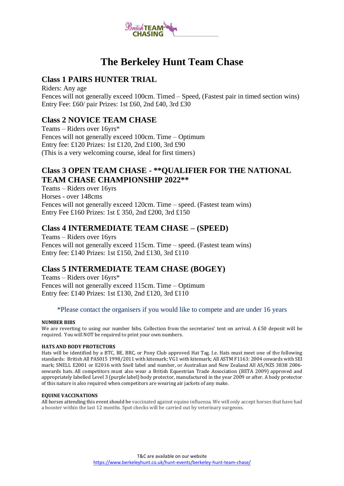

## **The Berkeley Hunt Team Chase**

### **Class 1 PAIRS HUNTER TRIAL**

Riders: Any age Fences will not generally exceed 100cm. Timed – Speed, (Fastest pair in timed section wins) Entry Fee: £60/ pair Prizes: 1st £60, 2nd £40, 3rd £30

### **Class 2 NOVICE TEAM CHASE**

Teams – Riders over 16yrs\* Fences will not generally exceed 100cm. Time – Optimum Entry fee: £120 Prizes: 1st £120, 2nd £100, 3rd £90 (This is a very welcoming course, ideal for first timers)

## **Class 3 OPEN TEAM CHASE - \*\*QUALIFIER FOR THE NATIONAL TEAM CHASE CHAMPIONSHIP 2022\*\***

Teams – Riders over 16yrs Horses - over 148cms Fences will not generally exceed 120cm. Time – speed. (Fastest team wins) Entry Fee £160 Prizes: 1st £ 350, 2nd £200, 3rd £150

#### **Class 4 INTERMEDIATE TEAM CHASE – (SPEED)**

Teams – Riders over 16yrs Fences will not generally exceed 115cm. Time – speed. (Fastest team wins) Entry fee: £140 Prizes: 1st £150, 2nd £130, 3rd £110

## **Class 5 INTERMEDIATE TEAM CHASE (BOGEY)**

Teams – Riders over 16yrs\* Fences will not generally exceed 115cm. Time – Optimum Entry fee: £140 Prizes: 1st £130, 2nd £120, 3rd £110

#### \*Please contact the organisers if you would like to compete and are under 16 years

#### **NUMBER BIBS**

We are reverting to using our number bibs. Collection from the secretaries' tent on arrival. A £50 deposit will be required. You will NOT be required to print your own numbers.

#### **HATS AND BODY PROTECTORS**

Hats will be identified by a BTC, BE, BRC, or Pony Club approved Hat Tag. I.e. Hats must meet one of the following standards: British All PAS015 1998/2011 with kitemark; VG1 with kitemark; All ASTM F1163: 2004 onwards with SEI mark; SNELL E2001 or E2016 with Snell label and number, or Australian and New Zealand All AS/NZS 3838 2006 onwards hats. All competitors must also wear a British Equestrian Trade Association (BETA 2009) approved and appropriately labelled Level 3 (purple label) body protector, manufactured in the year 2009 or after. A body protector of this nature is also required when competitors are wearing air jackets of any make.

#### **EQUINE VACCINATIONS**

All horses attending this event should be vaccinated against equine influenza. We will only accept horses that have had a booster within the last 12 months. Spot checks will be carried out by veterinary surgeons.